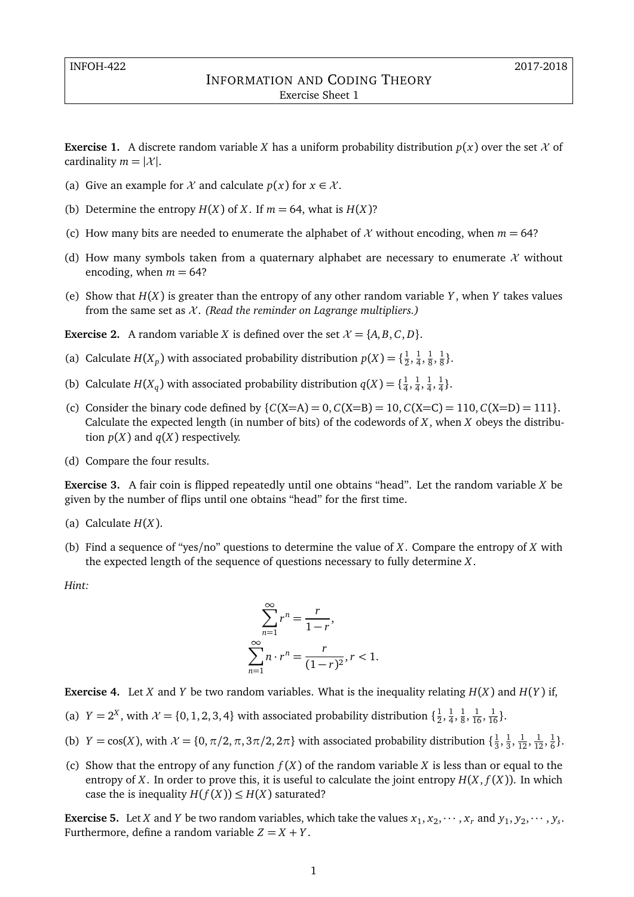## INFORMATION AND CODING THEORY Exercise Sheet 1

**Exercise 1.** A discrete random variable *X* has a uniform probability distribution  $p(x)$  over the set  $\mathcal X$  of cardinality  $m = |\mathcal{X}|$ .

- (a) Give an example for  $\mathcal X$  and calculate  $p(x)$  for  $x \in \mathcal X$ .
- (b) Determine the entropy  $H(X)$  of *X*. If  $m = 64$ , what is  $H(X)$ ?
- (c) How many bits are needed to enumerate the alphabet of  $\mathcal X$  without encoding, when  $m = 64$ ?
- (d) How many symbols taken from a quaternary alphabet are necessary to enumerate  $\mathcal X$  without encoding, when  $m = 64$ ?
- (e) Show that *H*(*X*) is greater than the entropy of any other random variable *Y* , when *Y* takes values from the same set as X . *(Read the reminder on Lagrange multipliers.)*

**Exercise 2.** A random variable *X* is defined over the set  $\mathcal{X} = \{A, B, C, D\}$ .

- (a) Calculate *H*(*X<sub>p</sub>*) with associated probability distribution  $p(X) = \{\frac{1}{2}\}$  $\frac{1}{2}, \frac{1}{4}$  $\frac{1}{4}, \frac{1}{8}$  $\frac{1}{8}$ ,  $\frac{1}{8}$  $\frac{1}{8}$ .
- (b) Calculate  $H(X_q)$  with associated probability distribution  $q(X) = \{\frac{1}{4}$  $\frac{1}{4}, \frac{1}{4}$  $\frac{1}{4}, \frac{1}{4}$  $\frac{1}{4}, \frac{1}{4}$  $\frac{1}{4}$ .
- (c) Consider the binary code defined by  $\{C(X=A) = 0, C(X=B) = 10, C(X=C) = 110, C(X=D) = 111\}.$ Calculate the expected length (in number of bits) of the codewords of *X*, when *X* obeys the distribution  $p(X)$  and  $q(X)$  respectively.
- (d) Compare the four results.

**Exercise 3.** A fair coin is flipped repeatedly until one obtains "head". Let the random variable *X* be given by the number of flips until one obtains "head" for the first time.

- (a) Calculate *H*(*X*).
- (b) Find a sequence of "yes/no" questions to determine the value of *X*. Compare the entropy of *X* with the expected length of the sequence of questions necessary to fully determine *X*.

*Hint:*

$$
\sum_{n=1}^{\infty} r^n = \frac{r}{1-r},
$$
  

$$
\sum_{n=1}^{\infty} n \cdot r^n = \frac{r}{(1-r)^2}, r < 1.
$$

**Exercise 4.** Let *X* and *Y* be two random variables. What is the inequality relating  $H(X)$  and  $H(Y)$  if,

- (a)  $Y = 2^X$ , with  $\mathcal{X} = \{0, 1, 2, 3, 4\}$  with associated probability distribution  $\{\frac{1}{2}\}$  $\frac{1}{2}, \frac{1}{4}$  $\frac{1}{4}, \frac{1}{8}$  $\frac{1}{8}, \frac{1}{16}, \frac{1}{16}$ .
- (b) *Y* = cos(*X*), with  $\mathcal{X} = \{0, \pi/2, \pi, 3\pi/2, 2\pi\}$  with associated probability distribution  $\{\frac{1}{3}, \frac{1}{3}, \frac{1}{3}, \frac{1}{3}\}$  $\frac{1}{3}, \frac{1}{3}$  $\frac{1}{3}, \frac{1}{12}, \frac{1}{12}, \frac{1}{6}$  $\frac{1}{6}$ .
- (c) Show that the entropy of any function  $f(X)$  of the random variable *X* is less than or equal to the entropy of *X*. In order to prove this, it is useful to calculate the joint entropy  $H(X, f(X))$ . In which case the is inequality  $H(f(X)) \le H(X)$  saturated?

**Exercise 5.** Let *X* and *Y* be two random variables, which take the values  $x_1, x_2, \dots, x_r$  and  $y_1, y_2, \dots, y_s$ . Furthermore, define a random variable  $Z = X + Y$ .